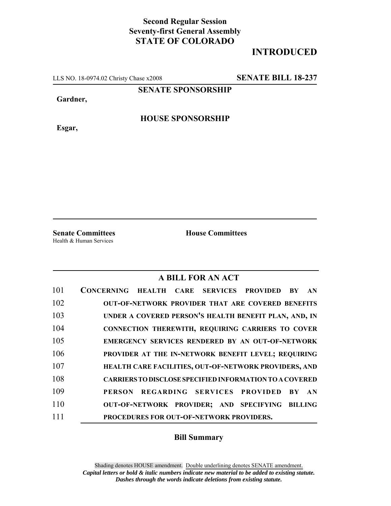## **Second Regular Session Seventy-first General Assembly STATE OF COLORADO**

## **INTRODUCED**

LLS NO. 18-0974.02 Christy Chase x2008 **SENATE BILL 18-237**

**SENATE SPONSORSHIP**

**Gardner,**

**HOUSE SPONSORSHIP**

**Esgar,**

Health & Human Services

**Senate Committees House Committees** 

## **A BILL FOR AN ACT**

| 101 | CONCERNING HEALTH CARE SERVICES PROVIDED<br>AN<br><b>BY</b>     |
|-----|-----------------------------------------------------------------|
| 102 | <b>OUT-OF-NETWORK PROVIDER THAT ARE COVERED BENEFITS</b>        |
| 103 | UNDER A COVERED PERSON'S HEALTH BENEFIT PLAN, AND, IN           |
| 104 | CONNECTION THEREWITH, REQUIRING CARRIERS TO COVER               |
| 105 | EMERGENCY SERVICES RENDERED BY AN OUT-OF-NETWORK                |
| 106 | PROVIDER AT THE IN-NETWORK BENEFIT LEVEL; REQUIRING             |
| 107 | HEALTH CARE FACILITIES, OUT-OF-NETWORK PROVIDERS, AND           |
| 108 | <b>CARRIERS TO DISCLOSE SPECIFIED INFORMATION TO A COVERED</b>  |
| 109 | REGARDING SERVICES PROVIDED<br><b>PERSON</b><br><b>BY</b><br>AN |
| 110 | OUT-OF-NETWORK PROVIDER; AND SPECIFYING<br><b>BILLING</b>       |
| 111 | PROCEDURES FOR OUT-OF-NETWORK PROVIDERS.                        |

## **Bill Summary**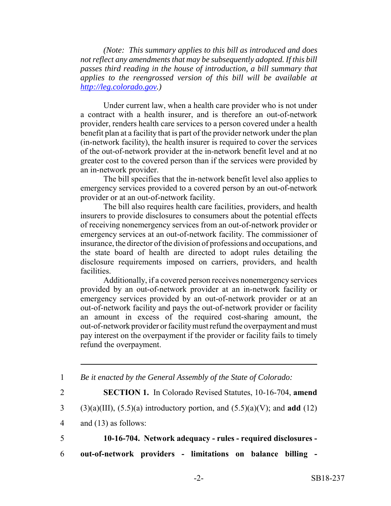*(Note: This summary applies to this bill as introduced and does not reflect any amendments that may be subsequently adopted. If this bill passes third reading in the house of introduction, a bill summary that applies to the reengrossed version of this bill will be available at http://leg.colorado.gov.)*

Under current law, when a health care provider who is not under a contract with a health insurer, and is therefore an out-of-network provider, renders health care services to a person covered under a health benefit plan at a facility that is part of the provider network under the plan (in-network facility), the health insurer is required to cover the services of the out-of-network provider at the in-network benefit level and at no greater cost to the covered person than if the services were provided by an in-network provider.

The bill specifies that the in-network benefit level also applies to emergency services provided to a covered person by an out-of-network provider or at an out-of-network facility.

The bill also requires health care facilities, providers, and health insurers to provide disclosures to consumers about the potential effects of receiving nonemergency services from an out-of-network provider or emergency services at an out-of-network facility. The commissioner of insurance, the director of the division of professions and occupations, and the state board of health are directed to adopt rules detailing the disclosure requirements imposed on carriers, providers, and health facilities.

Additionally, if a covered person receives nonemergency services provided by an out-of-network provider at an in-network facility or emergency services provided by an out-of-network provider or at an out-of-network facility and pays the out-of-network provider or facility an amount in excess of the required cost-sharing amount, the out-of-network provider or facility must refund the overpayment and must pay interest on the overpayment if the provider or facility fails to timely refund the overpayment.

|                | Be it enacted by the General Assembly of the State of Colorado:                    |
|----------------|------------------------------------------------------------------------------------|
| $\overline{2}$ | <b>SECTION 1.</b> In Colorado Revised Statutes, 10-16-704, amend                   |
|                | 3 (3)(a)(III), (5.5)(a) introductory portion, and (5.5)(a)(V); and <b>add</b> (12) |
| 4              | and $(13)$ as follows:                                                             |
| 5 <sup>1</sup> | 10-16-704. Network adequacy - rules - required disclosures -                       |
| 6              | out-of-network providers - limitations on balance billing -                        |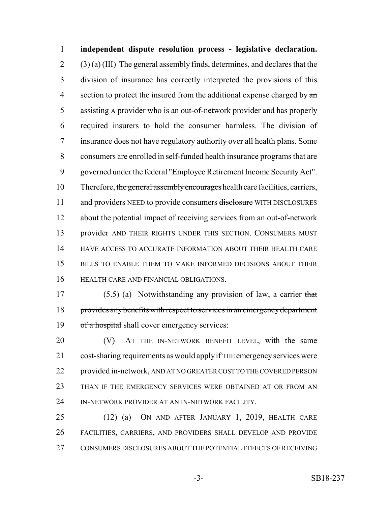**independent dispute resolution process - legislative declaration.**  $2 \qquad (3)$  (a) (III) The general assembly finds, determines, and declares that the division of insurance has correctly interpreted the provisions of this 4 section to protect the insured from the additional expense charged by  $\alpha$  assisting A provider who is an out-of-network provider and has properly required insurers to hold the consumer harmless. The division of insurance does not have regulatory authority over all health plans. Some consumers are enrolled in self-funded health insurance programs that are governed under the federal "Employee Retirement Income Security Act". 10 Therefore, the general assembly encourages health care facilities, carriers, 11 and providers NEED to provide consumers disclosure WITH DISCLOSURES about the potential impact of receiving services from an out-of-network 13 provider AND THEIR RIGHTS UNDER THIS SECTION. CONSUMERS MUST HAVE ACCESS TO ACCURATE INFORMATION ABOUT THEIR HEALTH CARE BILLS TO ENABLE THEM TO MAKE INFORMED DECISIONS ABOUT THEIR HEALTH CARE AND FINANCIAL OBLIGATIONS.

 (5.5) (a) Notwithstanding any provision of law, a carrier that 18 provides any benefits with respect to services in an emergency department 19 of a hospital shall cover emergency services:

 (V) AT THE IN-NETWORK BENEFIT LEVEL, with the same cost-sharing requirements as would apply if THE emergency services were provided in-network, AND AT NO GREATER COST TO THE COVERED PERSON 23 THAN IF THE EMERGENCY SERVICES WERE OBTAINED AT OR FROM AN IN-NETWORK PROVIDER AT AN IN-NETWORK FACILITY.

 (12) (a) ON AND AFTER JANUARY 1, 2019, HEALTH CARE FACILITIES, CARRIERS, AND PROVIDERS SHALL DEVELOP AND PROVIDE CONSUMERS DISCLOSURES ABOUT THE POTENTIAL EFFECTS OF RECEIVING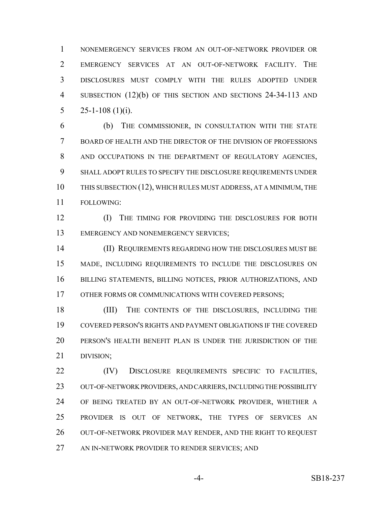NONEMERGENCY SERVICES FROM AN OUT-OF-NETWORK PROVIDER OR EMERGENCY SERVICES AT AN OUT-OF-NETWORK FACILITY. THE DISCLOSURES MUST COMPLY WITH THE RULES ADOPTED UNDER 4 SUBSECTION (12)(b) OF THIS SECTION AND SECTIONS 24-34-113 AND 5 25-1-108 (1)(i).

 (b) THE COMMISSIONER, IN CONSULTATION WITH THE STATE BOARD OF HEALTH AND THE DIRECTOR OF THE DIVISION OF PROFESSIONS 8 AND OCCUPATIONS IN THE DEPARTMENT OF REGULATORY AGENCIES, SHALL ADOPT RULES TO SPECIFY THE DISCLOSURE REQUIREMENTS UNDER THIS SUBSECTION (12), WHICH RULES MUST ADDRESS, AT A MINIMUM, THE FOLLOWING:

**(I)** THE TIMING FOR PROVIDING THE DISCLOSURES FOR BOTH 13 EMERGENCY AND NONEMERGENCY SERVICES;

 (II) REQUIREMENTS REGARDING HOW THE DISCLOSURES MUST BE MADE, INCLUDING REQUIREMENTS TO INCLUDE THE DISCLOSURES ON BILLING STATEMENTS, BILLING NOTICES, PRIOR AUTHORIZATIONS, AND 17 OTHER FORMS OR COMMUNICATIONS WITH COVERED PERSONS;

 (III) THE CONTENTS OF THE DISCLOSURES, INCLUDING THE COVERED PERSON'S RIGHTS AND PAYMENT OBLIGATIONS IF THE COVERED PERSON'S HEALTH BENEFIT PLAN IS UNDER THE JURISDICTION OF THE DIVISION;

22 (IV) DISCLOSURE REQUIREMENTS SPECIFIC TO FACILITIES, OUT-OF-NETWORK PROVIDERS, AND CARRIERS, INCLUDING THE POSSIBILITY OF BEING TREATED BY AN OUT-OF-NETWORK PROVIDER, WHETHER A PROVIDER IS OUT OF NETWORK, THE TYPES OF SERVICES AN 26 OUT-OF-NETWORK PROVIDER MAY RENDER, AND THE RIGHT TO REQUEST AN IN-NETWORK PROVIDER TO RENDER SERVICES; AND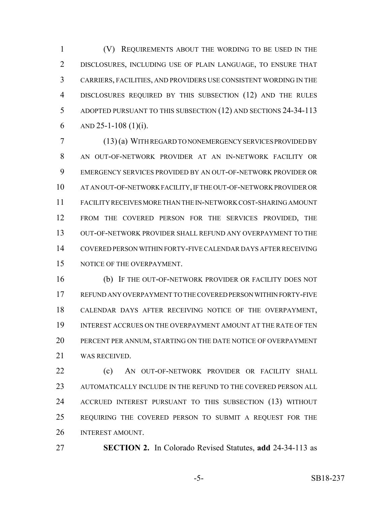(V) REQUIREMENTS ABOUT THE WORDING TO BE USED IN THE DISCLOSURES, INCLUDING USE OF PLAIN LANGUAGE, TO ENSURE THAT CARRIERS, FACILITIES, AND PROVIDERS USE CONSISTENT WORDING IN THE DISCLOSURES REQUIRED BY THIS SUBSECTION (12) AND THE RULES ADOPTED PURSUANT TO THIS SUBSECTION (12) AND SECTIONS 24-34-113 6 AND 25-1-108 (1)(i).

 (13) (a) WITH REGARD TO NONEMERGENCY SERVICES PROVIDED BY AN OUT-OF-NETWORK PROVIDER AT AN IN-NETWORK FACILITY OR EMERGENCY SERVICES PROVIDED BY AN OUT-OF-NETWORK PROVIDER OR AT AN OUT-OF-NETWORK FACILITY, IF THE OUT-OF-NETWORK PROVIDER OR FACILITY RECEIVES MORE THAN THE IN-NETWORK COST-SHARING AMOUNT FROM THE COVERED PERSON FOR THE SERVICES PROVIDED, THE OUT-OF-NETWORK PROVIDER SHALL REFUND ANY OVERPAYMENT TO THE COVERED PERSON WITHIN FORTY-FIVE CALENDAR DAYS AFTER RECEIVING NOTICE OF THE OVERPAYMENT.

 (b) IF THE OUT-OF-NETWORK PROVIDER OR FACILITY DOES NOT REFUND ANY OVERPAYMENT TO THE COVERED PERSON WITHIN FORTY-FIVE CALENDAR DAYS AFTER RECEIVING NOTICE OF THE OVERPAYMENT, INTEREST ACCRUES ON THE OVERPAYMENT AMOUNT AT THE RATE OF TEN PERCENT PER ANNUM, STARTING ON THE DATE NOTICE OF OVERPAYMENT WAS RECEIVED.

**(c)** AN OUT-OF-NETWORK PROVIDER OR FACILITY SHALL AUTOMATICALLY INCLUDE IN THE REFUND TO THE COVERED PERSON ALL ACCRUED INTEREST PURSUANT TO THIS SUBSECTION (13) WITHOUT REQUIRING THE COVERED PERSON TO SUBMIT A REQUEST FOR THE INTEREST AMOUNT.

**SECTION 2.** In Colorado Revised Statutes, **add** 24-34-113 as

-5- SB18-237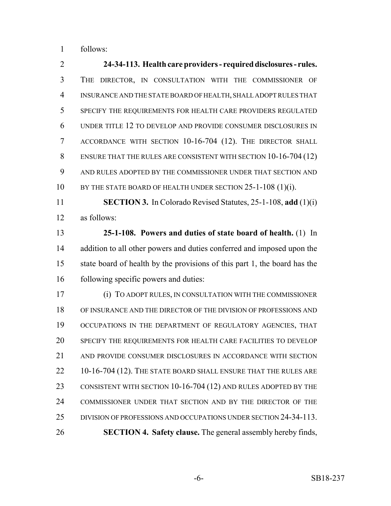follows:

 **24-34-113. Health care providers - required disclosures - rules.** THE DIRECTOR, IN CONSULTATION WITH THE COMMISSIONER OF INSURANCE AND THE STATE BOARD OF HEALTH, SHALL ADOPT RULES THAT SPECIFY THE REQUIREMENTS FOR HEALTH CARE PROVIDERS REGULATED UNDER TITLE 12 TO DEVELOP AND PROVIDE CONSUMER DISCLOSURES IN ACCORDANCE WITH SECTION 10-16-704 (12). THE DIRECTOR SHALL ENSURE THAT THE RULES ARE CONSISTENT WITH SECTION 10-16-704 (12) AND RULES ADOPTED BY THE COMMISSIONER UNDER THAT SECTION AND 10 BY THE STATE BOARD OF HEALTH UNDER SECTION 25-1-108 (1)(i). **SECTION 3.** In Colorado Revised Statutes, 25-1-108, **add** (1)(i)

as follows:

 **25-1-108. Powers and duties of state board of health.** (1) In 14 addition to all other powers and duties conferred and imposed upon the state board of health by the provisions of this part 1, the board has the following specific powers and duties:

 (i) TO ADOPT RULES, IN CONSULTATION WITH THE COMMISSIONER OF INSURANCE AND THE DIRECTOR OF THE DIVISION OF PROFESSIONS AND 19 OCCUPATIONS IN THE DEPARTMENT OF REGULATORY AGENCIES, THAT SPECIFY THE REQUIREMENTS FOR HEALTH CARE FACILITIES TO DEVELOP AND PROVIDE CONSUMER DISCLOSURES IN ACCORDANCE WITH SECTION 22 10-16-704 (12). THE STATE BOARD SHALL ENSURE THAT THE RULES ARE 23 CONSISTENT WITH SECTION 10-16-704 (12) AND RULES ADOPTED BY THE COMMISSIONER UNDER THAT SECTION AND BY THE DIRECTOR OF THE DIVISION OF PROFESSIONS AND OCCUPATIONS UNDER SECTION 24-34-113. **SECTION 4. Safety clause.** The general assembly hereby finds,